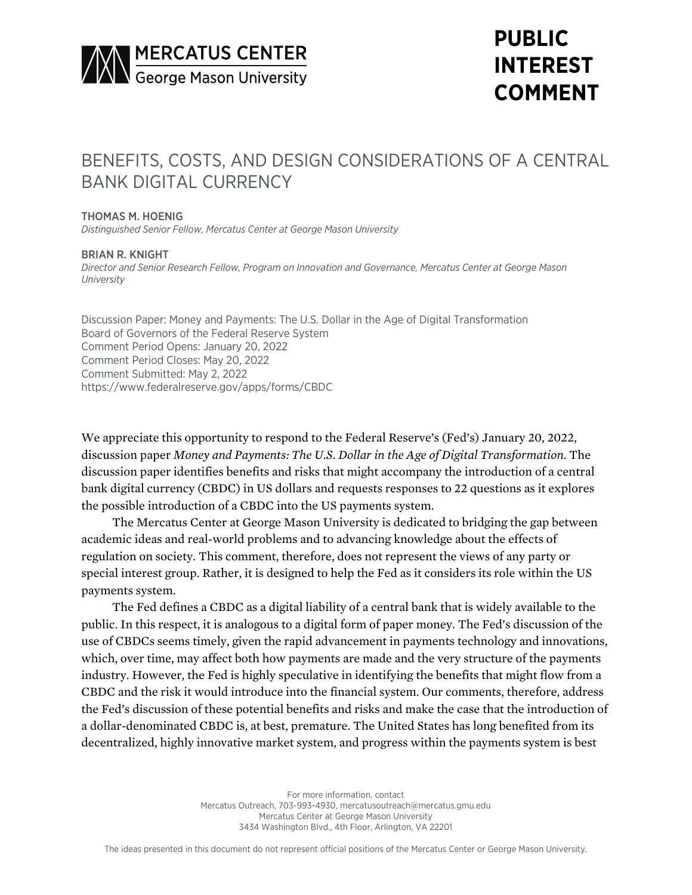

# **PUBLIC INTEREST COMMENT**

## BENEFITS, COSTS, AND DESIGN CONSIDERATIONS OF A CENTRAL BANK DIGITAL CURRENCY

#### THOMAS M. HOENIG

*Distinguished Senior Fellow, Mercatus Center at George Mason University*

#### BRIAN R. KNIGHT

*Director and Senior Research Fellow, Program on Innovation and Governance, Mercatus Center at George Mason University*

Discussion Paper: Money and Payments: The U.S. Dollar in the Age of Digital Transformation Board of Governors of the Federal Reserve System Comment Period Opens: January 20, 2022 Comment Period Closes: May 20, 2022 Comment Submitted: May 2, 2022 <https://www.federalreserve.gov/apps/forms/CBDC>

We appreciate this opportunity to respond to the Federal Reserve's (Fed's) January 20, 2022, discussion paper *Money and Payments: The U.S. Dollar in the Age of Digital Transformation*. The discussion paper identifies benefits and risks that might accompany the introduction of a central bank digital currency (CBDC) in US dollars and requests responses to 22 questions as it explores the possible introduction of a CBDC into the US payments system.

The Mercatus Center at George Mason University is dedicated to bridging the gap between academic ideas and real-world problems and to advancing knowledge about the effects of regulation on society. This comment, therefore, does not represent the views of any party or special interest group. Rather, it is designed to help the Fed as it considers its role within the US payments system.

The Fed defines a CBDC as a digital liability of a central bank that is widely available to the public. In this respect, it is analogous to a digital form of paper money. The Fed's discussion of the use of CBDCs seems timely, given the rapid advancement in payments technology and innovations, which, over time, may affect both how payments are made and the very structure of the payments industry. However, the Fed is highly speculative in identifying the benefits that might flow from a CBDC and the risk it would introduce into the financial system. Our comments, therefore, address the Fed's discussion of these potential benefits and risks and make the case that the introduction of a dollar-denominated CBDC is, at best, premature. The United States has long benefited from its decentralized, highly innovative market system, and progress within the payments system is best

> For more information, contact Mercatus Outreach, 703-993-4930, mercatusoutreach@mercatus.gmu.edu Mercatus Center at George Mason University 3434 Washington Blvd., 4th Floor, Arlington, VA 22201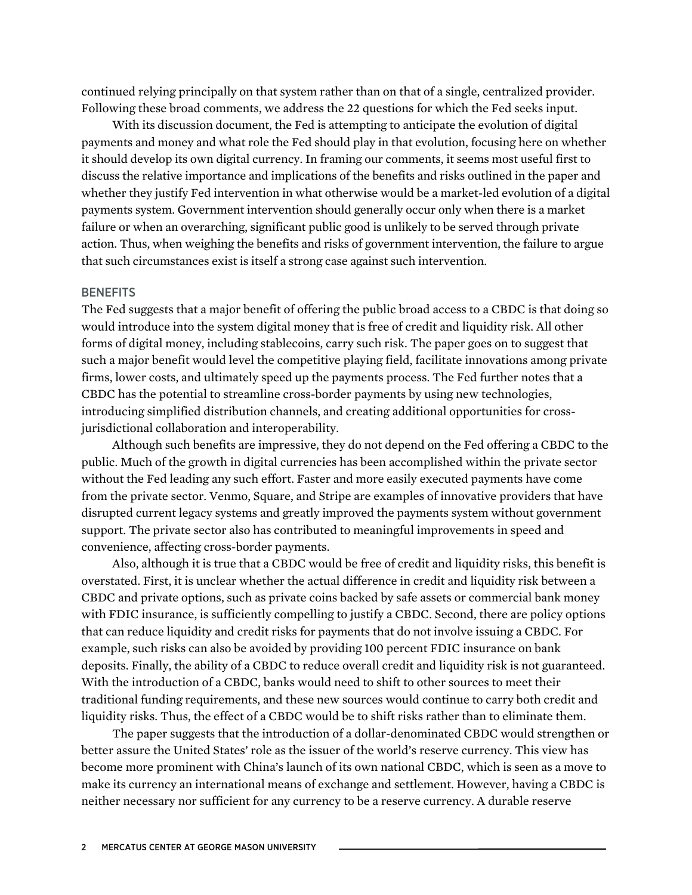continued relying principally on that system rather than on that of a single, centralized provider. Following these broad comments, we address the 22 questions for which the Fed seeks input.

With its discussion document, the Fed is attempting to anticipate the evolution of digital payments and money and what role the Fed should play in that evolution, focusing here on whether it should develop its own digital currency. In framing our comments, it seems most useful first to discuss the relative importance and implications of the benefits and risks outlined in the paper and whether they justify Fed intervention in what otherwise would be a market-led evolution of a digital payments system. Government intervention should generally occur only when there is a market failure or when an overarching, significant public good is unlikely to be served through private action. Thus, when weighing the benefits and risks of government intervention, the failure to argue that such circumstances exist is itself a strong case against such intervention.

#### **BENEFITS**

The Fed suggests that a major benefit of offering the public broad access to a CBDC is that doing so would introduce into the system digital money that is free of credit and liquidity risk. All other forms of digital money, including stablecoins, carry such risk. The paper goes on to suggest that such a major benefit would level the competitive playing field, facilitate innovations among private firms, lower costs, and ultimately speed up the payments process. The Fed further notes that a CBDC has the potential to streamline cross-border payments by using new technologies, introducing simplified distribution channels, and creating additional opportunities for crossjurisdictional collaboration and interoperability.

Although such benefits are impressive, they do not depend on the Fed offering a CBDC to the public. Much of the growth in digital currencies has been accomplished within the private sector without the Fed leading any such effort. Faster and more easily executed payments have come from the private sector. Venmo, Square, and Stripe are examples of innovative providers that have disrupted current legacy systems and greatly improved the payments system without government support. The private sector also has contributed to meaningful improvements in speed and convenience, affecting cross-border payments.

Also, although it is true that a CBDC would be free of credit and liquidity risks, this benefit is overstated. First, it is unclear whether the actual difference in credit and liquidity risk between a CBDC and private options, such as private coins backed by safe assets or commercial bank money with FDIC insurance, is sufficiently compelling to justify a CBDC. Second, there are policy options that can reduce liquidity and credit risks for payments that do not involve issuing a CBDC. For example, such risks can also be avoided by providing 100 percent FDIC insurance on bank deposits. Finally, the ability of a CBDC to reduce overall credit and liquidity risk is not guaranteed. With the introduction of a CBDC, banks would need to shift to other sources to meet their traditional funding requirements, and these new sources would continue to carry both credit and liquidity risks. Thus, the effect of a CBDC would be to shift risks rather than to eliminate them.

The paper suggests that the introduction of a dollar-denominated CBDC would strengthen or better assure the United States' role as the issuer of the world's reserve currency. This view has become more prominent with China's launch of its own national CBDC, which is seen as a move to make its currency an international means of exchange and settlement. However, having a CBDC is neither necessary nor sufficient for any currency to be a reserve currency. A durable reserve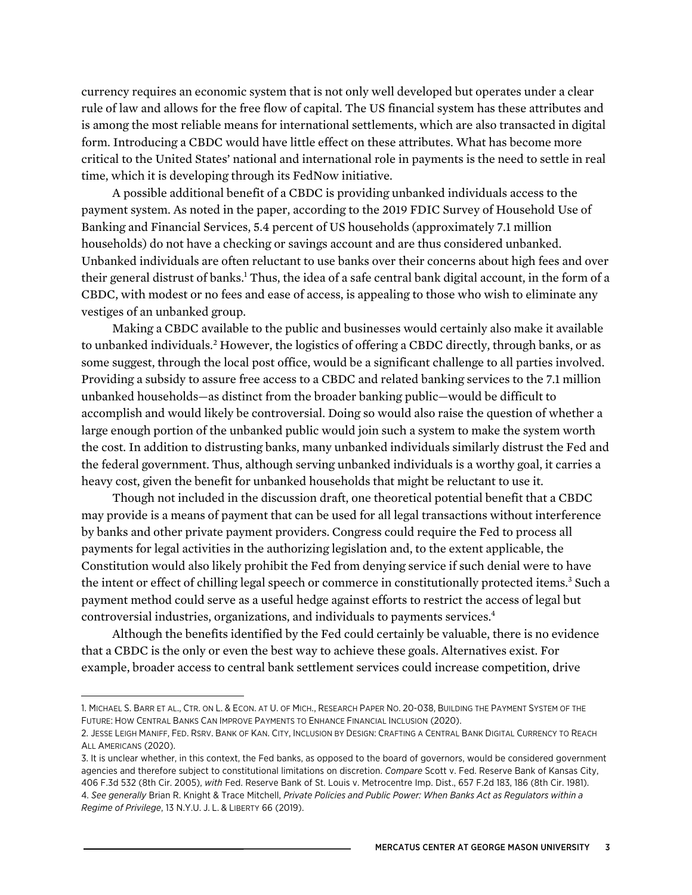currency requires an economic system that is not only well developed but operates under a clear rule of law and allows for the free flow of capital. The US financial system has these attributes and is among the most reliable means for international settlements, which are also transacted in digital form. Introducing a CBDC would have little effect on these attributes. What has become more critical to the United States' national and international role in payments is the need to settle in real time, which it is developing through its FedNow initiative.

A possible additional benefit of a CBDC is providing unbanked individuals access to the payment system. As noted in the paper, according to the 2019 FDIC Survey of Household Use of Banking and Financial Services, 5.4 percent of US households (approximately 7.1 million households) do not have a checking or savings account and are thus considered unbanked. Unbanked individuals are often reluctant to use banks over their concerns about high fees and over their general distrust of banks.<sup>1</sup> Thus, the idea of a safe central bank digital account, in the form of a CBDC, with modest or no fees and ease of access, is appealing to those who wish to eliminate any vestiges of an unbanked group.

Making a CBDC available to the public and businesses would certainly also make it available to unbanked individuals.2 However, the logistics of offering a CBDC directly, through banks, or as some suggest, through the local post office, would be a significant challenge to all parties involved. Providing a subsidy to assure free access to a CBDC and related banking services to the 7.1 million unbanked households—as distinct from the broader banking public—would be difficult to accomplish and would likely be controversial. Doing so would also raise the question of whether a large enough portion of the unbanked public would join such a system to make the system worth the cost. In addition to distrusting banks, many unbanked individuals similarly distrust the Fed and the federal government. Thus, although serving unbanked individuals is a worthy goal, it carries a heavy cost, given the benefit for unbanked households that might be reluctant to use it.

Though not included in the discussion draft, one theoretical potential benefit that a CBDC may provide is a means of payment that can be used for all legal transactions without interference by banks and other private payment providers. Congress could require the Fed to process all payments for legal activities in the authorizing legislation and, to the extent applicable, the Constitution would also likely prohibit the Fed from denying service if such denial were to have the intent or effect of chilling legal speech or commerce in constitutionally protected items.<sup>3</sup> Such a payment method could serve as a useful hedge against efforts to restrict the access of legal but controversial industries, organizations, and individuals to payments services.4

Although the benefits identified by the Fed could certainly be valuable, there is no evidence that a CBDC is the only or even the best way to achieve these goals. Alternatives exist. For example, broader access to central bank settlement services could increase competition, drive

<sup>1.</sup> MICHAEL S. BARR ET AL., CTR. ON L. & ECON. AT U. OF MICH., RESEARCH PAPER NO. 20-038, BUILDING THE PAYMENT SYSTEM OF THE FUTURE: HOW CENTRAL BANKS CAN IMPROVE PAYMENTS TO ENHANCE FINANCIAL INCLUSION (2020).

<sup>2.</sup> JESSE LEIGH MANIFF, FED. RSRV. BANK OF KAN. CITY, INCLUSION BY DESIGN: CRAFTING A CENTRAL BANK DIGITAL CURRENCY TO REACH ALL AMERICANS (2020).

<sup>3.</sup> It is unclear whether, in this context, the Fed banks, as opposed to the board of governors, would be considered government agencies and therefore subject to constitutional limitations on discretion. *Compare* Scott v. Fed. Reserve Bank of Kansas City, 406 F.3d 532 (8th Cir. 2005), *with* Fed. Reserve Bank of St. Louis v. Metrocentre Imp. Dist., 657 F.2d 183, 186 (8th Cir. 1981). 4. *See generally* Brian R. Knight & Trace Mitchell, *Private Policies and Public Power: When Banks Act as Regulators within a Regime of Privilege*, 13 N.Y.U. J. L. & LIBERTY 66 (2019).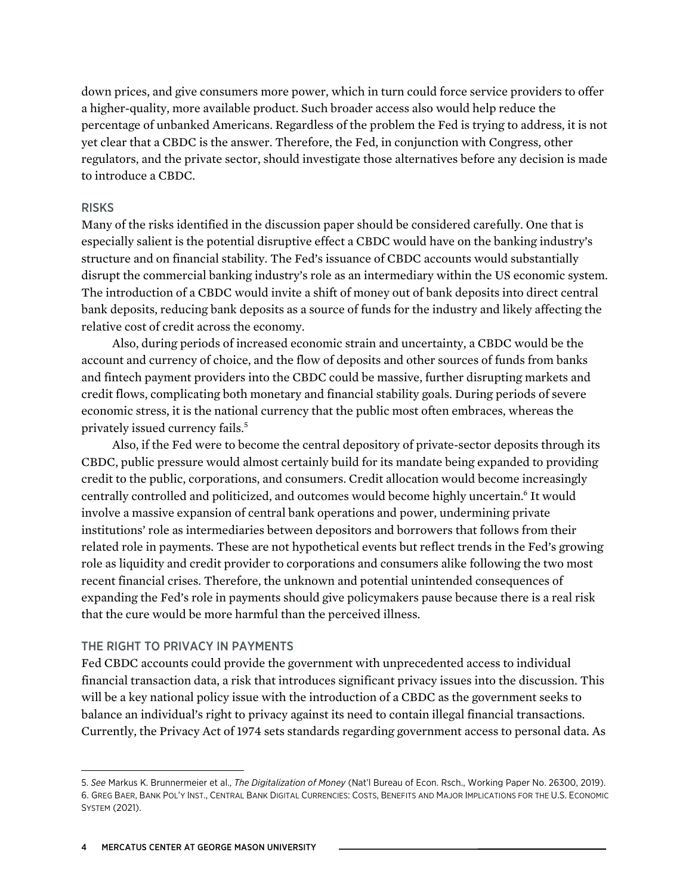down prices, and give consumers more power, which in turn could force service providers to offer a higher-quality, more available product. Such broader access also would help reduce the percentage of unbanked Americans. Regardless of the problem the Fed is trying to address, it is not yet clear that a CBDC is the answer. Therefore, the Fed, in conjunction with Congress, other regulators, and the private sector, should investigate those alternatives before any decision is made to introduce a CBDC.

#### RISKS

Many of the risks identified in the discussion paper should be considered carefully. One that is especially salient is the potential disruptive effect a CBDC would have on the banking industry's structure and on financial stability. The Fed's issuance of CBDC accounts would substantially disrupt the commercial banking industry's role as an intermediary within the US economic system. The introduction of a CBDC would invite a shift of money out of bank deposits into direct central bank deposits, reducing bank deposits as a source of funds for the industry and likely affecting the relative cost of credit across the economy.

Also, during periods of increased economic strain and uncertainty, a CBDC would be the account and currency of choice, and the flow of deposits and other sources of funds from banks and fintech payment providers into the CBDC could be massive, further disrupting markets and credit flows, complicating both monetary and financial stability goals. During periods of severe economic stress, it is the national currency that the public most often embraces, whereas the privately issued currency fails.5

Also, if the Fed were to become the central depository of private-sector deposits through its CBDC, public pressure would almost certainly build for its mandate being expanded to providing credit to the public, corporations, and consumers. Credit allocation would become increasingly centrally controlled and politicized, and outcomes would become highly uncertain.<sup>6</sup> It would involve a massive expansion of central bank operations and power, undermining private institutions' role as intermediaries between depositors and borrowers that follows from their related role in payments. These are not hypothetical events but reflect trends in the Fed's growing role as liquidity and credit provider to corporations and consumers alike following the two most recent financial crises. Therefore, the unknown and potential unintended consequences of expanding the Fed's role in payments should give policymakers pause because there is a real risk that the cure would be more harmful than the perceived illness.

#### THE RIGHT TO PRIVACY IN PAYMENTS

Fed CBDC accounts could provide the government with unprecedented access to individual financial transaction data, a risk that introduces significant privacy issues into the discussion. This will be a key national policy issue with the introduction of a CBDC as the government seeks to balance an individual's right to privacy against its need to contain illegal financial transactions. Currently, the Privacy Act of 1974 sets standards regarding government access to personal data. As

<sup>5.</sup> *See* Markus K. Brunnermeier et al., *The Digitalization of Money* (Nat'l Bureau of Econ. Rsch., Working Paper No. 26300, 2019). 6. GREG BAER, BANK POL'Y INST., CENTRAL BANK DIGITAL CURRENCIES: COSTS, BENEFITS AND MAJOR IMPLICATIONS FOR THE U.S. ECONOMIC SYSTEM (2021).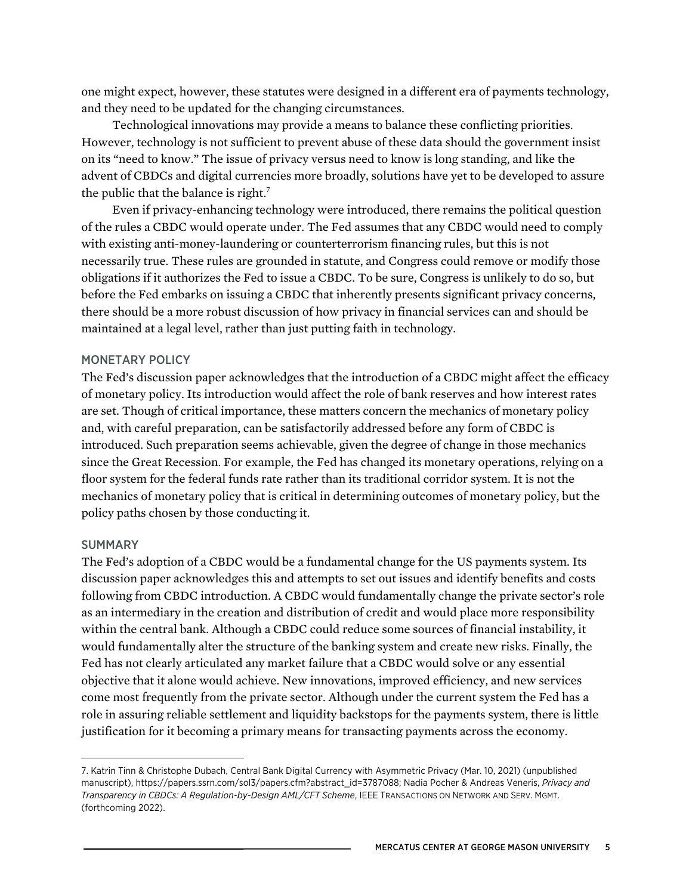one might expect, however, these statutes were designed in a different era of payments technology, and they need to be updated for the changing circumstances.

Technological innovations may provide a means to balance these conflicting priorities. However, technology is not sufficient to prevent abuse of these data should the government insist on its "need to know." The issue of privacy versus need to know is long standing, and like the advent of CBDCs and digital currencies more broadly, solutions have yet to be developed to assure the public that the balance is right.<sup>7</sup>

Even if privacy-enhancing technology were introduced, there remains the political question of the rules a CBDC would operate under. The Fed assumes that any CBDC would need to comply with existing anti-money-laundering or counterterrorism financing rules, but this is not necessarily true. These rules are grounded in statute, and Congress could remove or modify those obligations if it authorizes the Fed to issue a CBDC. To be sure, Congress is unlikely to do so, but before the Fed embarks on issuing a CBDC that inherently presents significant privacy concerns, there should be a more robust discussion of how privacy in financial services can and should be maintained at a legal level, rather than just putting faith in technology.

#### MONETARY POLICY

The Fed's discussion paper acknowledges that the introduction of a CBDC might affect the efficacy of monetary policy. Its introduction would affect the role of bank reserves and how interest rates are set. Though of critical importance, these matters concern the mechanics of monetary policy and, with careful preparation, can be satisfactorily addressed before any form of CBDC is introduced. Such preparation seems achievable, given the degree of change in those mechanics since the Great Recession. For example, the Fed has changed its monetary operations, relying on a floor system for the federal funds rate rather than its traditional corridor system. It is not the mechanics of monetary policy that is critical in determining outcomes of monetary policy, but the policy paths chosen by those conducting it.

#### **SUMMARY**

The Fed's adoption of a CBDC would be a fundamental change for the US payments system. Its discussion paper acknowledges this and attempts to set out issues and identify benefits and costs following from CBDC introduction. A CBDC would fundamentally change the private sector's role as an intermediary in the creation and distribution of credit and would place more responsibility within the central bank. Although a CBDC could reduce some sources of financial instability, it would fundamentally alter the structure of the banking system and create new risks. Finally, the Fed has not clearly articulated any market failure that a CBDC would solve or any essential objective that it alone would achieve. New innovations, improved efficiency, and new services come most frequently from the private sector. Although under the current system the Fed has a role in assuring reliable settlement and liquidity backstops for the payments system, there is little justification for it becoming a primary means for transacting payments across the economy.

<sup>7.</sup> Katrin Tinn & Christophe Dubach, Central Bank Digital Currency with Asymmetric Privacy (Mar. 10, 2021) (unpublished manuscript), [https://papers.ssrn.com/sol3/papers.cfm?abstract\\_id=3787088](https://papers.ssrn.com/sol3/papers.cfm?abstract_id=3787088); Nadia Pocher & Andreas Veneris, *Privacy and Transparency in CBDCs: A Regulation-by-Design AML/CFT Scheme*, IEEE TRANSACTIONS ON NETWORK AND SERV. MGMT. (forthcoming 2022).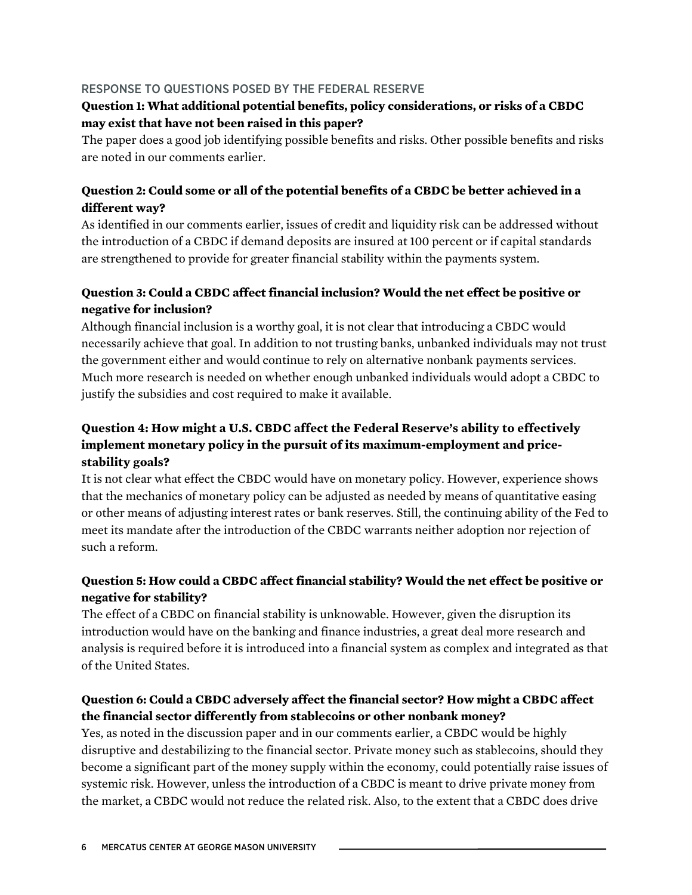#### RESPONSE TO QUESTIONS POSED BY THE FEDERAL RESERVE

### **Question 1: What additional potential benefits, policy considerations, or risks of a CBDC may exist that have not been raised in this paper?**

The paper does a good job identifying possible benefits and risks. Other possible benefits and risks are noted in our comments earlier.

#### **Question 2: Could some or all of the potential benefits of a CBDC be better achieved in a different way?**

As identified in our comments earlier, issues of credit and liquidity risk can be addressed without the introduction of a CBDC if demand deposits are insured at 100 percent or if capital standards are strengthened to provide for greater financial stability within the payments system.

### **Question 3: Could a CBDC affect financial inclusion? Would the net effect be positive or negative for inclusion?**

Although financial inclusion is a worthy goal, it is not clear that introducing a CBDC would necessarily achieve that goal. In addition to not trusting banks, unbanked individuals may not trust the government either and would continue to rely on alternative nonbank payments services. Much more research is needed on whether enough unbanked individuals would adopt a CBDC to justify the subsidies and cost required to make it available.

### **Question 4: How might a U.S. CBDC affect the Federal Reserve's ability to effectively implement monetary policy in the pursuit of its maximum-employment and pricestability goals?**

It is not clear what effect the CBDC would have on monetary policy. However, experience shows that the mechanics of monetary policy can be adjusted as needed by means of quantitative easing or other means of adjusting interest rates or bank reserves. Still, the continuing ability of the Fed to meet its mandate after the introduction of the CBDC warrants neither adoption nor rejection of such a reform.

### **Question 5: How could a CBDC affect financial stability? Would the net effect be positive or negative for stability?**

The effect of a CBDC on financial stability is unknowable. However, given the disruption its introduction would have on the banking and finance industries, a great deal more research and analysis is required before it is introduced into a financial system as complex and integrated as that of the United States.

### **Question 6: Could a CBDC adversely affect the financial sector? How might a CBDC affect the financial sector differently from stablecoins or other nonbank money?**

Yes, as noted in the discussion paper and in our comments earlier, a CBDC would be highly disruptive and destabilizing to the financial sector. Private money such as stablecoins, should they become a significant part of the money supply within the economy, could potentially raise issues of systemic risk. However, unless the introduction of a CBDC is meant to drive private money from the market, a CBDC would not reduce the related risk. Also, to the extent that a CBDC does drive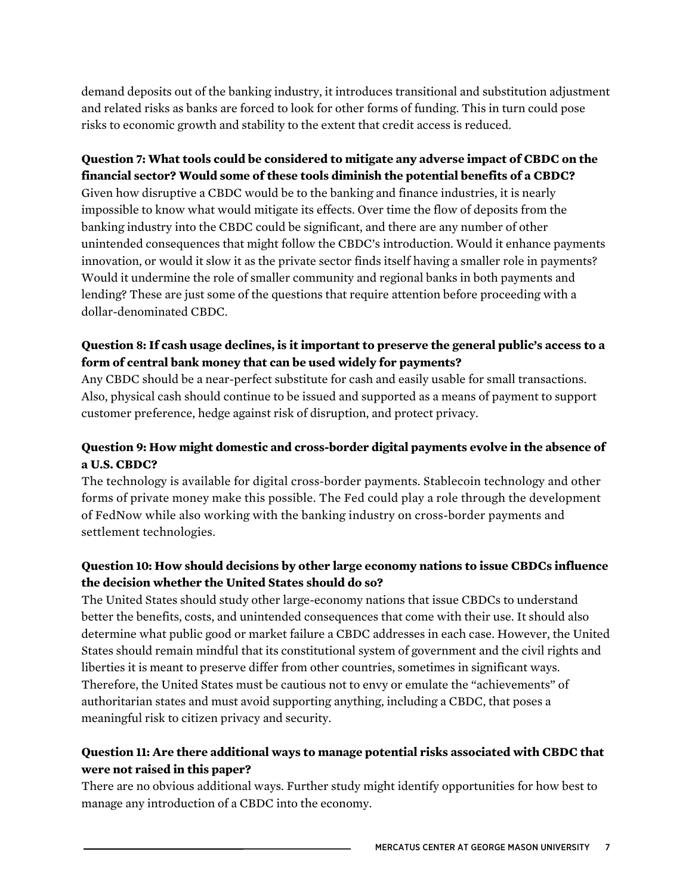demand deposits out of the banking industry, it introduces transitional and substitution adjustment and related risks as banks are forced to look for other forms of funding. This in turn could pose risks to economic growth and stability to the extent that credit access is reduced.

#### **Question 7: What tools could be considered to mitigate any adverse impact of CBDC on the financial sector? Would some of these tools diminish the potential benefits of a CBDC?**

Given how disruptive a CBDC would be to the banking and finance industries, it is nearly impossible to know what would mitigate its effects. Over time the flow of deposits from the banking industry into the CBDC could be significant, and there are any number of other unintended consequences that might follow the CBDC's introduction. Would it enhance payments innovation, or would it slow it as the private sector finds itself having a smaller role in payments? Would it undermine the role of smaller community and regional banks in both payments and lending? These are just some of the questions that require attention before proceeding with a dollar-denominated CBDC.

### **Question 8: If cash usage declines, is it important to preserve the general public's access to a form of central bank money that can be used widely for payments?**

Any CBDC should be a near-perfect substitute for cash and easily usable for small transactions. Also, physical cash should continue to be issued and supported as a means of payment to support customer preference, hedge against risk of disruption, and protect privacy.

### **Question 9: How might domestic and cross-border digital payments evolve in the absence of a U.S. CBDC?**

The technology is available for digital cross-border payments. Stablecoin technology and other forms of private money make this possible. The Fed could play a role through the development of FedNow while also working with the banking industry on cross-border payments and settlement technologies.

### **Question 10: How should decisions by other large economy nations to issue CBDCs influence the decision whether the United States should do so?**

The United States should study other large-economy nations that issue CBDCs to understand better the benefits, costs, and unintended consequences that come with their use. It should also determine what public good or market failure a CBDC addresses in each case. However, the United States should remain mindful that its constitutional system of government and the civil rights and liberties it is meant to preserve differ from other countries, sometimes in significant ways. Therefore, the United States must be cautious not to envy or emulate the "achievements" of authoritarian states and must avoid supporting anything, including a CBDC, that poses a meaningful risk to citizen privacy and security.

### **Question 11: Are there additional ways to manage potential risks associated with CBDC that were not raised in this paper?**

There are no obvious additional ways. Further study might identify opportunities for how best to manage any introduction of a CBDC into the economy.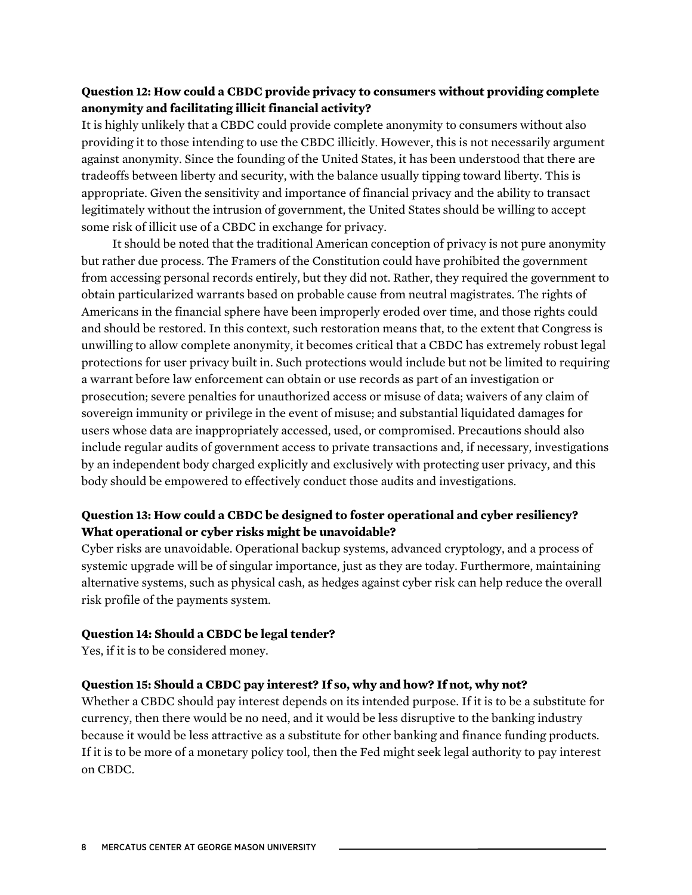#### **Question 12: How could a CBDC provide privacy to consumers without providing complete anonymity and facilitating illicit financial activity?**

It is highly unlikely that a CBDC could provide complete anonymity to consumers without also providing it to those intending to use the CBDC illicitly. However, this is not necessarily argument against anonymity. Since the founding of the United States, it has been understood that there are tradeoffs between liberty and security, with the balance usually tipping toward liberty. This is appropriate. Given the sensitivity and importance of financial privacy and the ability to transact legitimately without the intrusion of government, the United States should be willing to accept some risk of illicit use of a CBDC in exchange for privacy.

It should be noted that the traditional American conception of privacy is not pure anonymity but rather due process. The Framers of the Constitution could have prohibited the government from accessing personal records entirely, but they did not. Rather, they required the government to obtain particularized warrants based on probable cause from neutral magistrates. The rights of Americans in the financial sphere have been improperly eroded over time, and those rights could and should be restored. In this context, such restoration means that, to the extent that Congress is unwilling to allow complete anonymity, it becomes critical that a CBDC has extremely robust legal protections for user privacy built in. Such protections would include but not be limited to requiring a warrant before law enforcement can obtain or use records as part of an investigation or prosecution; severe penalties for unauthorized access or misuse of data; waivers of any claim of sovereign immunity or privilege in the event of misuse; and substantial liquidated damages for users whose data are inappropriately accessed, used, or compromised. Precautions should also include regular audits of government access to private transactions and, if necessary, investigations by an independent body charged explicitly and exclusively with protecting user privacy, and this body should be empowered to effectively conduct those audits and investigations.

#### **Question 13: How could a CBDC be designed to foster operational and cyber resiliency? What operational or cyber risks might be unavoidable?**

Cyber risks are unavoidable. Operational backup systems, advanced cryptology, and a process of systemic upgrade will be of singular importance, just as they are today. Furthermore, maintaining alternative systems, such as physical cash, as hedges against cyber risk can help reduce the overall risk profile of the payments system.

#### **Question 14: Should a CBDC be legal tender?**

Yes, if it is to be considered money.

#### **Question 15: Should a CBDC pay interest? If so, why and how? If not, why not?**

Whether a CBDC should pay interest depends on its intended purpose. If it is to be a substitute for currency, then there would be no need, and it would be less disruptive to the banking industry because it would be less attractive as a substitute for other banking and finance funding products. If it is to be more of a monetary policy tool, then the Fed might seek legal authority to pay interest on CBDC.